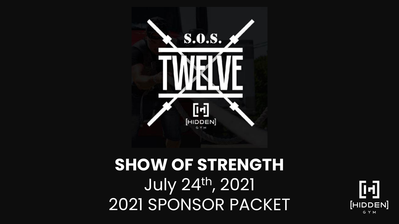

## **SHOW OF STRENGTH** July 24th , 2021 2021 SPONSOR PACKET

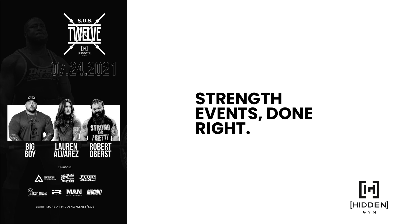

#### **STRENGTH EVENTS, DONE RIGHT.**

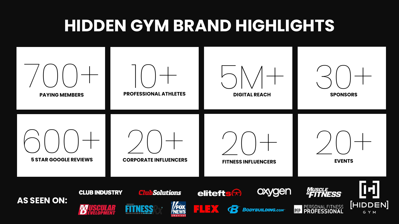### **HIDDEN GYM BRAND HIGHLIGHTS**

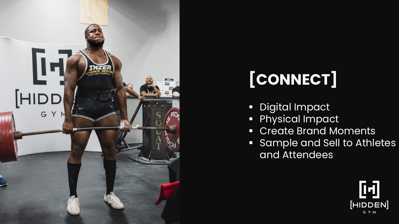

## **[CONNECT]**

- Digital Impact
- **Physical Impact**
- Create Brand Moments
- **Example and Sell to Athletes** and Attendees

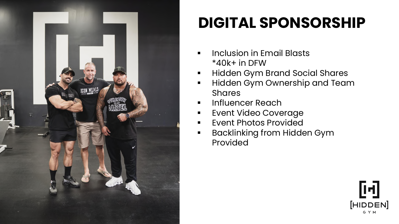

## **DIGITAL SPONSORSHIP**

- Inclusion in Email Blasts \*40k+ in DFW
- Hidden Gym Brand Social Shares
- **.** Hidden Gym Ownership and Team **Shares**
- **·** Influencer Reach
- **EVent Video Coverage**
- Event Photos Provided
- Backlinking from Hidden Gym Provided

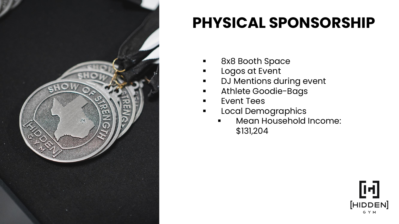

#### **PHYSICAL SPONSORSHIP**

- 8x8 Booth Space
- Logos at Event
- **■** DJ Mentions during event
- **EXEC** Athlete Goodie-Bags
- Event Tees
- **·** Local Demographics
	- Mean Household Income: \$131,204

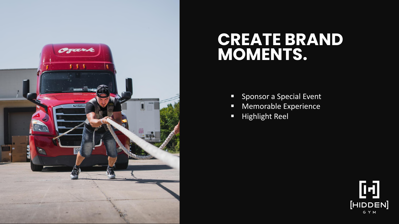

#### **CREATE BRAND MOMENTS.**

- Sponsor a Special Event
- Memorable Experience
- Highlight Reel

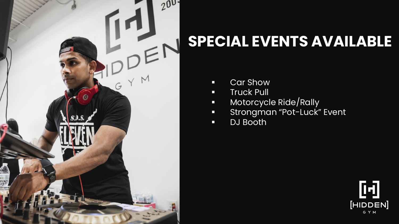

## **SPECIAL EVENTS AVAILABLE**

- Car Show
- Truck Pull
- Motorcycle Ride/Rally
- **Strongman "Pot-Luck" Event**
- DJ Booth

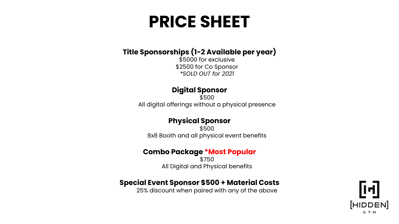## **PRICE SHEET**

#### **Title Sponsorships (1-2 Available per year)**

\$5000 for exclusive \$2500 for Co Sponsor *\*SOLD OUT for 2021*

#### **Digital Sponsor**

\$500 All digital offerings without a physical presence

#### **Physical Sponsor**

\$500 8x8 Booth and all physical event benefits

#### **Combo Package \*Most Popular**

\$750 All Digital and Physical benefits

#### **Special Event Sponsor \$500 + Material Costs**

25% discount when paired with any of the above

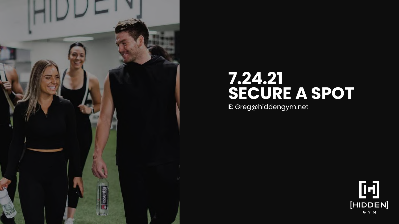

#### **7.24.21 SECURE A SPOT**

**E**: Greg@hiddengym.net